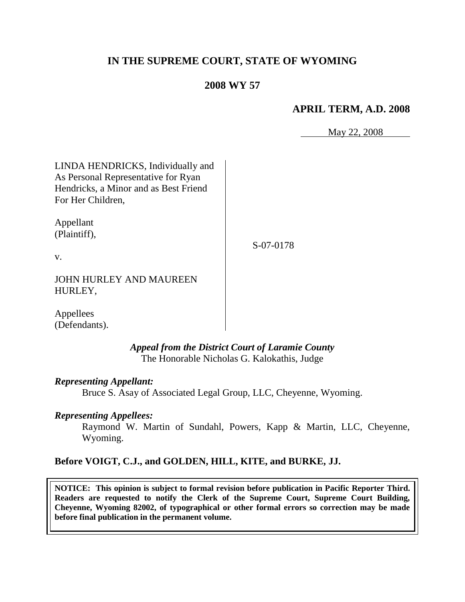# **IN THE SUPREME COURT, STATE OF WYOMING**

# **2008 WY 57**

# **APRIL TERM, A.D. 2008**

May 22, 2008

LINDA HENDRICKS, Individually and As Personal Representative for Ryan Hendricks, a Minor and as Best Friend For Her Children, Appellant (Plaintiff), v. S-07-0178

JOHN HURLEY AND MAUREEN HURLEY,

Appellees (Defendants).

> *Appeal from the District Court of Laramie County* The Honorable Nicholas G. Kalokathis, Judge

*Representing Appellant:*

Bruce S. Asay of Associated Legal Group, LLC, Cheyenne, Wyoming.

*Representing Appellees:*

Raymond W. Martin of Sundahl, Powers, Kapp & Martin, LLC, Cheyenne, Wyoming.

# **Before VOIGT, C.J., and GOLDEN, HILL, KITE, and BURKE, JJ.**

**NOTICE: This opinion is subject to formal revision before publication in Pacific Reporter Third. Readers are requested to notify the Clerk of the Supreme Court, Supreme Court Building, Cheyenne, Wyoming 82002, of typographical or other formal errors so correction may be made before final publication in the permanent volume.**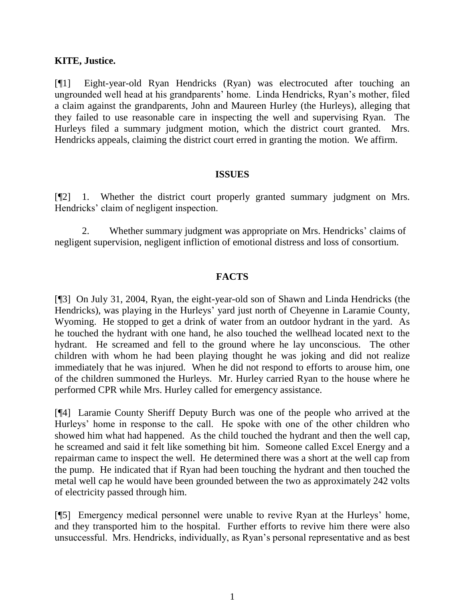#### **KITE, Justice.**

[¶1] Eight-year-old Ryan Hendricks (Ryan) was electrocuted after touching an ungrounded well head at his grandparents' home. Linda Hendricks, Ryan's mother, filed a claim against the grandparents, John and Maureen Hurley (the Hurleys), alleging that they failed to use reasonable care in inspecting the well and supervising Ryan. The Hurleys filed a summary judgment motion, which the district court granted. Mrs. Hendricks appeals, claiming the district court erred in granting the motion. We affirm.

#### **ISSUES**

[¶2] 1. Whether the district court properly granted summary judgment on Mrs. Hendricks' claim of negligent inspection.

2. Whether summary judgment was appropriate on Mrs. Hendricks' claims of negligent supervision, negligent infliction of emotional distress and loss of consortium.

### **FACTS**

[¶3] On July 31, 2004, Ryan, the eight-year-old son of Shawn and Linda Hendricks (the Hendricks), was playing in the Hurleys' yard just north of Cheyenne in Laramie County, Wyoming. He stopped to get a drink of water from an outdoor hydrant in the yard. As he touched the hydrant with one hand, he also touched the wellhead located next to the hydrant. He screamed and fell to the ground where he lay unconscious. The other children with whom he had been playing thought he was joking and did not realize immediately that he was injured. When he did not respond to efforts to arouse him, one of the children summoned the Hurleys. Mr. Hurley carried Ryan to the house where he performed CPR while Mrs. Hurley called for emergency assistance.

[¶4] Laramie County Sheriff Deputy Burch was one of the people who arrived at the Hurleys' home in response to the call. He spoke with one of the other children who showed him what had happened. As the child touched the hydrant and then the well cap, he screamed and said it felt like something bit him. Someone called Excel Energy and a repairman came to inspect the well. He determined there was a short at the well cap from the pump. He indicated that if Ryan had been touching the hydrant and then touched the metal well cap he would have been grounded between the two as approximately 242 volts of electricity passed through him.

[¶5] Emergency medical personnel were unable to revive Ryan at the Hurleys' home, and they transported him to the hospital. Further efforts to revive him there were also unsuccessful. Mrs. Hendricks, individually, as Ryan's personal representative and as best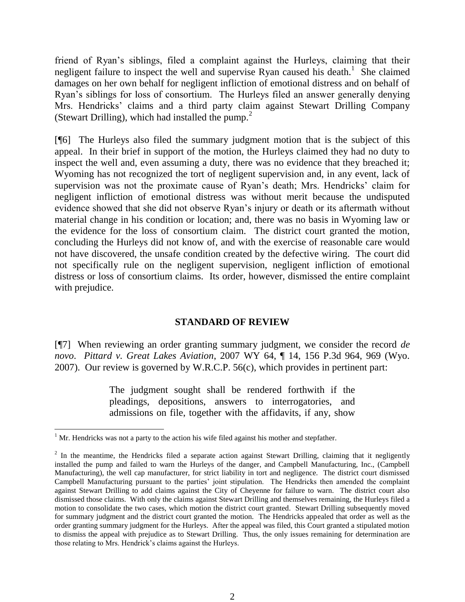friend of Ryan's siblings, filed a complaint against the Hurleys, claiming that their negligent failure to inspect the well and supervise Ryan caused his death.<sup>1</sup> She claimed damages on her own behalf for negligent infliction of emotional distress and on behalf of Ryan's siblings for loss of consortium. The Hurleys filed an answer generally denying Mrs. Hendricks' claims and a third party claim against Stewart Drilling Company (Stewart Drilling), which had installed the pump. $2$ 

[¶6] The Hurleys also filed the summary judgment motion that is the subject of this appeal. In their brief in support of the motion, the Hurleys claimed they had no duty to inspect the well and, even assuming a duty, there was no evidence that they breached it; Wyoming has not recognized the tort of negligent supervision and, in any event, lack of supervision was not the proximate cause of Ryan's death; Mrs. Hendricks' claim for negligent infliction of emotional distress was without merit because the undisputed evidence showed that she did not observe Ryan's injury or death or its aftermath without material change in his condition or location; and, there was no basis in Wyoming law or the evidence for the loss of consortium claim. The district court granted the motion, concluding the Hurleys did not know of, and with the exercise of reasonable care would not have discovered, the unsafe condition created by the defective wiring. The court did not specifically rule on the negligent supervision, negligent infliction of emotional distress or loss of consortium claims. Its order, however, dismissed the entire complaint with prejudice.

#### **STANDARD OF REVIEW**

[¶7] When reviewing an order granting summary judgment, we consider the record *de novo*. *Pittard v. Great Lakes Aviation*, 2007 WY 64, ¶ 14, 156 P.3d 964, 969 (Wyo. 2007). Our review is governed by W.R.C.P. 56(c), which provides in pertinent part:

> The judgment sought shall be rendered forthwith if the pleadings, depositions, answers to interrogatories, and admissions on file, together with the affidavits, if any, show

 $<sup>1</sup>$  Mr. Hendricks was not a party to the action his wife filed against his mother and stepfather.</sup>

 $2$  In the meantime, the Hendricks filed a separate action against Stewart Drilling, claiming that it negligently installed the pump and failed to warn the Hurleys of the danger, and Campbell Manufacturing, Inc., (Campbell Manufacturing), the well cap manufacturer, for strict liability in tort and negligence. The district court dismissed Campbell Manufacturing pursuant to the parties' joint stipulation. The Hendricks then amended the complaint against Stewart Drilling to add claims against the City of Cheyenne for failure to warn. The district court also dismissed those claims. With only the claims against Stewart Drilling and themselves remaining, the Hurleys filed a motion to consolidate the two cases, which motion the district court granted. Stewart Drilling subsequently moved for summary judgment and the district court granted the motion. The Hendricks appealed that order as well as the order granting summary judgment for the Hurleys. After the appeal was filed, this Court granted a stipulated motion to dismiss the appeal with prejudice as to Stewart Drilling. Thus, the only issues remaining for determination are those relating to Mrs. Hendrick's claims against the Hurleys.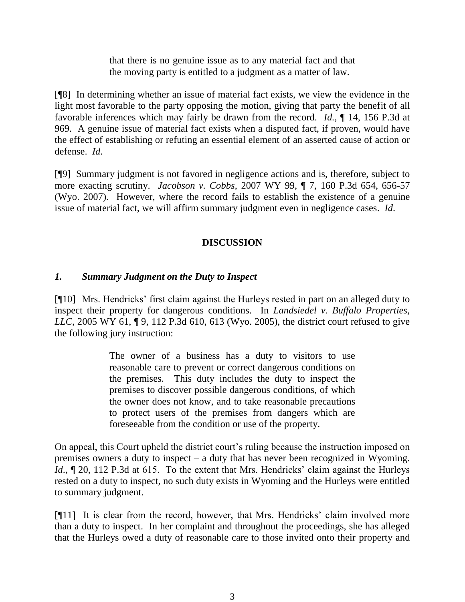that there is no genuine issue as to any material fact and that the moving party is entitled to a judgment as a matter of law.

[¶8] In determining whether an issue of material fact exists, we view the evidence in the light most favorable to the party opposing the motion, giving that party the benefit of all favorable inferences which may fairly be drawn from the record. *Id.*, ¶ 14, 156 P.3d at 969. A genuine issue of material fact exists when a disputed fact, if proven, would have the effect of establishing or refuting an essential element of an asserted cause of action or defense. *Id*.

[¶9] Summary judgment is not favored in negligence actions and is, therefore, subject to more exacting scrutiny. *Jacobson v. Cobbs*, 2007 WY 99, ¶ 7, 160 P.3d 654, 656-57 (Wyo. 2007). However, where the record fails to establish the existence of a genuine issue of material fact, we will affirm summary judgment even in negligence cases. *Id*.

# **DISCUSSION**

# *1. Summary Judgment on the Duty to Inspect*

[¶10] Mrs. Hendricks' first claim against the Hurleys rested in part on an alleged duty to inspect their property for dangerous conditions. In *Landsiedel v. Buffalo Properties, LLC*, 2005 WY 61, 19, 112 P.3d 610, 613 (Wyo. 2005), the district court refused to give the following jury instruction:

> The owner of a business has a duty to visitors to use reasonable care to prevent or correct dangerous conditions on the premises. This duty includes the duty to inspect the premises to discover possible dangerous conditions, of which the owner does not know, and to take reasonable precautions to protect users of the premises from dangers which are foreseeable from the condition or use of the property.

On appeal, this Court upheld the district court's ruling because the instruction imposed on premises owners a duty to inspect – a duty that has never been recognized in Wyoming. *Id.*,  $\sim$  20, 112 P.3d at 615. To the extent that Mrs. Hendricks' claim against the Hurleys rested on a duty to inspect, no such duty exists in Wyoming and the Hurleys were entitled to summary judgment.

[¶11] It is clear from the record, however, that Mrs. Hendricks' claim involved more than a duty to inspect. In her complaint and throughout the proceedings, she has alleged that the Hurleys owed a duty of reasonable care to those invited onto their property and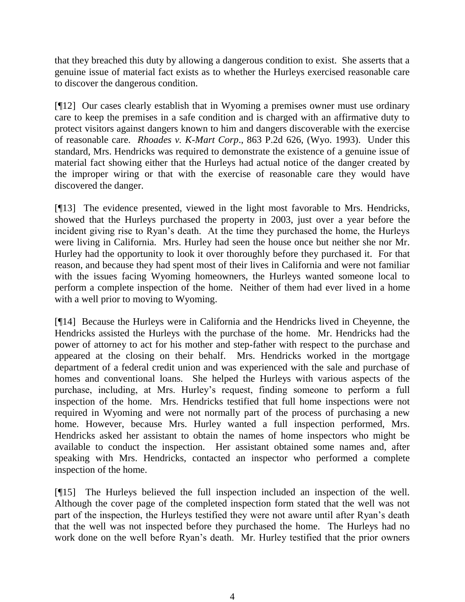that they breached this duty by allowing a dangerous condition to exist. She asserts that a genuine issue of material fact exists as to whether the Hurleys exercised reasonable care to discover the dangerous condition.

[¶12] Our cases clearly establish that in Wyoming a premises owner must use ordinary care to keep the premises in a safe condition and is charged with an affirmative duty to protect visitors against dangers known to him and dangers discoverable with the exercise of reasonable care. *Rhoades v. K-Mart Corp*., 863 P.2d 626, (Wyo. 1993). Under this standard, Mrs. Hendricks was required to demonstrate the existence of a genuine issue of material fact showing either that the Hurleys had actual notice of the danger created by the improper wiring or that with the exercise of reasonable care they would have discovered the danger.

[¶13] The evidence presented, viewed in the light most favorable to Mrs. Hendricks, showed that the Hurleys purchased the property in 2003, just over a year before the incident giving rise to Ryan's death. At the time they purchased the home, the Hurleys were living in California. Mrs. Hurley had seen the house once but neither she nor Mr. Hurley had the opportunity to look it over thoroughly before they purchased it. For that reason, and because they had spent most of their lives in California and were not familiar with the issues facing Wyoming homeowners, the Hurleys wanted someone local to perform a complete inspection of the home. Neither of them had ever lived in a home with a well prior to moving to Wyoming.

[¶14] Because the Hurleys were in California and the Hendricks lived in Cheyenne, the Hendricks assisted the Hurleys with the purchase of the home. Mr. Hendricks had the power of attorney to act for his mother and step-father with respect to the purchase and appeared at the closing on their behalf. Mrs. Hendricks worked in the mortgage department of a federal credit union and was experienced with the sale and purchase of homes and conventional loans. She helped the Hurleys with various aspects of the purchase, including, at Mrs. Hurley's request, finding someone to perform a full inspection of the home. Mrs. Hendricks testified that full home inspections were not required in Wyoming and were not normally part of the process of purchasing a new home. However, because Mrs. Hurley wanted a full inspection performed, Mrs. Hendricks asked her assistant to obtain the names of home inspectors who might be available to conduct the inspection. Her assistant obtained some names and, after speaking with Mrs. Hendricks, contacted an inspector who performed a complete inspection of the home.

[¶15] The Hurleys believed the full inspection included an inspection of the well. Although the cover page of the completed inspection form stated that the well was not part of the inspection, the Hurleys testified they were not aware until after Ryan's death that the well was not inspected before they purchased the home. The Hurleys had no work done on the well before Ryan's death. Mr. Hurley testified that the prior owners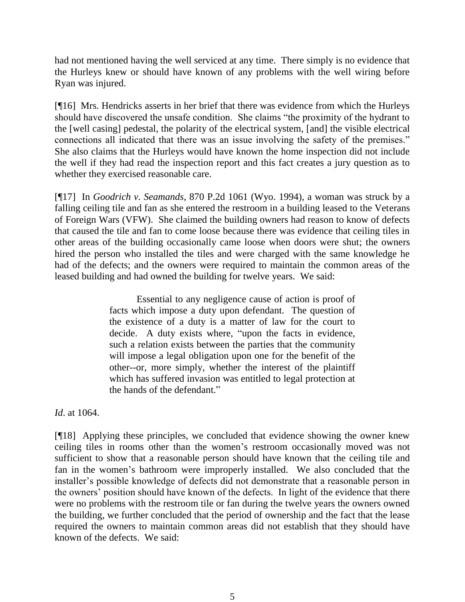had not mentioned having the well serviced at any time. There simply is no evidence that the Hurleys knew or should have known of any problems with the well wiring before Ryan was injured.

[¶16] Mrs. Hendricks asserts in her brief that there was evidence from which the Hurleys should have discovered the unsafe condition. She claims "the proximity of the hydrant to the [well casing] pedestal, the polarity of the electrical system, [and] the visible electrical connections all indicated that there was an issue involving the safety of the premises." She also claims that the Hurleys would have known the home inspection did not include the well if they had read the inspection report and this fact creates a jury question as to whether they exercised reasonable care.

[¶17] In *Goodrich v. Seamands*, 870 P.2d 1061 (Wyo. 1994), a woman was struck by a falling ceiling tile and fan as she entered the restroom in a building leased to the Veterans of Foreign Wars (VFW). She claimed the building owners had reason to know of defects that caused the tile and fan to come loose because there was evidence that ceiling tiles in other areas of the building occasionally came loose when doors were shut; the owners hired the person who installed the tiles and were charged with the same knowledge he had of the defects; and the owners were required to maintain the common areas of the leased building and had owned the building for twelve years. We said:

> Essential to any negligence cause of action is proof of facts which impose a duty upon defendant. The question of the existence of a duty is a matter of law for the court to decide. A duty exists where, "upon the facts in evidence, such a relation exists between the parties that the community will impose a legal obligation upon one for the benefit of the other--or, more simply, whether the interest of the plaintiff which has suffered invasion was entitled to legal protection at the hands of the defendant."

*Id*. at 1064.

[¶18] Applying these principles, we concluded that evidence showing the owner knew ceiling tiles in rooms other than the women's restroom occasionally moved was not sufficient to show that a reasonable person should have known that the ceiling tile and fan in the women's bathroom were improperly installed. We also concluded that the installer's possible knowledge of defects did not demonstrate that a reasonable person in the owners' position should have known of the defects. In light of the evidence that there were no problems with the restroom tile or fan during the twelve years the owners owned the building, we further concluded that the period of ownership and the fact that the lease required the owners to maintain common areas did not establish that they should have known of the defects. We said: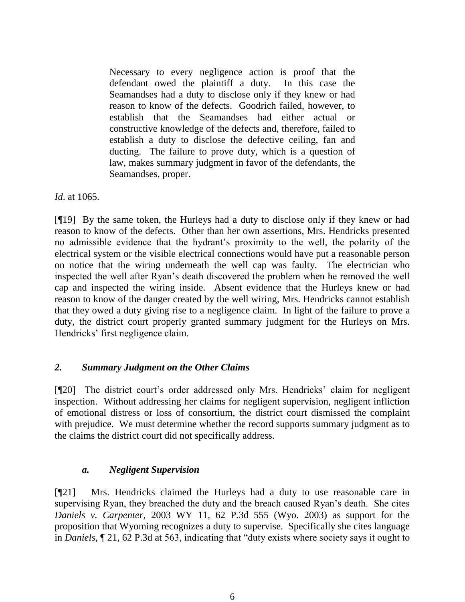Necessary to every negligence action is proof that the defendant owed the plaintiff a duty. In this case the Seamandses had a duty to disclose only if they knew or had reason to know of the defects. Goodrich failed, however, to establish that the Seamandses had either actual or constructive knowledge of the defects and, therefore, failed to establish a duty to disclose the defective ceiling, fan and ducting. The failure to prove duty, which is a question of law, makes summary judgment in favor of the defendants, the Seamandses, proper.

*Id*. at 1065.

[¶19] By the same token, the Hurleys had a duty to disclose only if they knew or had reason to know of the defects. Other than her own assertions, Mrs. Hendricks presented no admissible evidence that the hydrant's proximity to the well, the polarity of the electrical system or the visible electrical connections would have put a reasonable person on notice that the wiring underneath the well cap was faulty. The electrician who inspected the well after Ryan's death discovered the problem when he removed the well cap and inspected the wiring inside. Absent evidence that the Hurleys knew or had reason to know of the danger created by the well wiring, Mrs. Hendricks cannot establish that they owed a duty giving rise to a negligence claim. In light of the failure to prove a duty, the district court properly granted summary judgment for the Hurleys on Mrs. Hendricks' first negligence claim.

# *2. Summary Judgment on the Other Claims*

[¶20] The district court's order addressed only Mrs. Hendricks' claim for negligent inspection. Without addressing her claims for negligent supervision, negligent infliction of emotional distress or loss of consortium, the district court dismissed the complaint with prejudice. We must determine whether the record supports summary judgment as to the claims the district court did not specifically address.

# *a. Negligent Supervision*

[¶21] Mrs. Hendricks claimed the Hurleys had a duty to use reasonable care in supervising Ryan, they breached the duty and the breach caused Ryan's death. She cites *Daniels v. Carpenter*, 2003 WY 11, 62 P.3d 555 (Wyo. 2003) as support for the proposition that Wyoming recognizes a duty to supervise. Specifically she cites language in *Daniels,* ¶ 21, 62 P.3d at 563, indicating that "duty exists where society says it ought to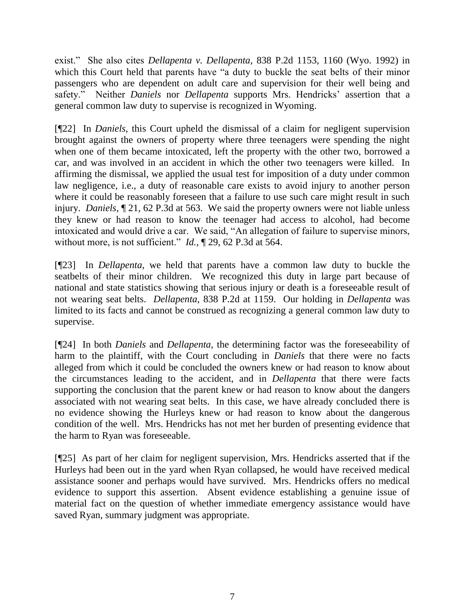exist." She also cites *Dellapenta v. Dellapenta*, 838 P.2d 1153, 1160 (Wyo. 1992) in which this Court held that parents have "a duty to buckle the seat belts of their minor passengers who are dependent on adult care and supervision for their well being and safety." Neither *Daniels* nor *Dellapenta* supports Mrs. Hendricks' assertion that a general common law duty to supervise is recognized in Wyoming.

[¶22] In *Daniels*, this Court upheld the dismissal of a claim for negligent supervision brought against the owners of property where three teenagers were spending the night when one of them became intoxicated, left the property with the other two, borrowed a car, and was involved in an accident in which the other two teenagers were killed. In affirming the dismissal, we applied the usual test for imposition of a duty under common law negligence, i.e., a duty of reasonable care exists to avoid injury to another person where it could be reasonably foreseen that a failure to use such care might result in such injury. *Daniels*, ¶ 21, 62 P.3d at 563. We said the property owners were not liable unless they knew or had reason to know the teenager had access to alcohol, had become intoxicated and would drive a car. We said, "An allegation of failure to supervise minors, without more, is not sufficient." *Id.*, ¶ 29, 62 P.3d at 564.

[¶23] In *Dellapenta*, we held that parents have a common law duty to buckle the seatbelts of their minor children. We recognized this duty in large part because of national and state statistics showing that serious injury or death is a foreseeable result of not wearing seat belts. *Dellapenta*, 838 P.2d at 1159. Our holding in *Dellapenta* was limited to its facts and cannot be construed as recognizing a general common law duty to supervise.

[¶24] In both *Daniels* and *Dellapenta*, the determining factor was the foreseeability of harm to the plaintiff, with the Court concluding in *Daniels* that there were no facts alleged from which it could be concluded the owners knew or had reason to know about the circumstances leading to the accident, and in *Dellapenta* that there were facts supporting the conclusion that the parent knew or had reason to know about the dangers associated with not wearing seat belts. In this case, we have already concluded there is no evidence showing the Hurleys knew or had reason to know about the dangerous condition of the well. Mrs. Hendricks has not met her burden of presenting evidence that the harm to Ryan was foreseeable.

[¶25] As part of her claim for negligent supervision, Mrs. Hendricks asserted that if the Hurleys had been out in the yard when Ryan collapsed, he would have received medical assistance sooner and perhaps would have survived. Mrs. Hendricks offers no medical evidence to support this assertion. Absent evidence establishing a genuine issue of material fact on the question of whether immediate emergency assistance would have saved Ryan, summary judgment was appropriate.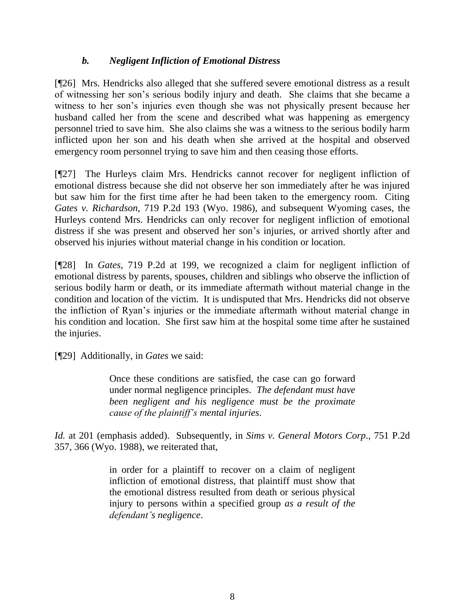# *b. Negligent Infliction of Emotional Distress*

[¶26] Mrs. Hendricks also alleged that she suffered severe emotional distress as a result of witnessing her son's serious bodily injury and death. She claims that she became a witness to her son's injuries even though she was not physically present because her husband called her from the scene and described what was happening as emergency personnel tried to save him. She also claims she was a witness to the serious bodily harm inflicted upon her son and his death when she arrived at the hospital and observed emergency room personnel trying to save him and then ceasing those efforts.

[¶27] The Hurleys claim Mrs. Hendricks cannot recover for negligent infliction of emotional distress because she did not observe her son immediately after he was injured but saw him for the first time after he had been taken to the emergency room. Citing *Gates v. Richardson*, 719 P.2d 193 (Wyo. 1986), and subsequent Wyoming cases, the Hurleys contend Mrs. Hendricks can only recover for negligent infliction of emotional distress if she was present and observed her son's injuries, or arrived shortly after and observed his injuries without material change in his condition or location.

[¶28] In *Gates*, 719 P.2d at 199, we recognized a claim for negligent infliction of emotional distress by parents, spouses, children and siblings who observe the infliction of serious bodily harm or death, or its immediate aftermath without material change in the condition and location of the victim. It is undisputed that Mrs. Hendricks did not observe the infliction of Ryan's injuries or the immediate aftermath without material change in his condition and location. She first saw him at the hospital some time after he sustained the injuries.

[¶29] Additionally, in *Gates* we said:

Once these conditions are satisfied, the case can go forward under normal negligence principles. *The defendant must have been negligent and his negligence must be the proximate cause of the plaintiff's mental injuries*.

*Id.* at 201 (emphasis added). Subsequently, in *Sims v. General Motors Corp*., 751 P.2d 357, 366 (Wyo. 1988), we reiterated that,

> in order for a plaintiff to recover on a claim of negligent infliction of emotional distress, that plaintiff must show that the emotional distress resulted from death or serious physical injury to persons within a specified group *as a result of the defendant's negligence*.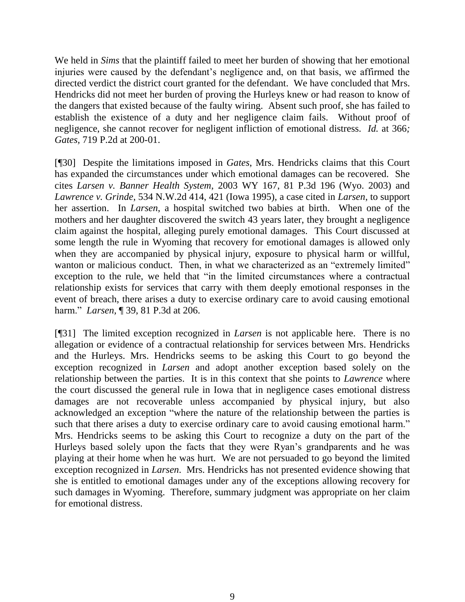We held in *Sims* that the plaintiff failed to meet her burden of showing that her emotional injuries were caused by the defendant's negligence and, on that basis, we affirmed the directed verdict the district court granted for the defendant. We have concluded that Mrs. Hendricks did not meet her burden of proving the Hurleys knew or had reason to know of the dangers that existed because of the faulty wiring. Absent such proof, she has failed to establish the existence of a duty and her negligence claim fails. Without proof of negligence, she cannot recover for negligent infliction of emotional distress. *Id.* at 366*; Gates,* 719 P.2d at 200-01.

[¶30] Despite the limitations imposed in *Gates*, Mrs. Hendricks claims that this Court has expanded the circumstances under which emotional damages can be recovered. She cites *Larsen v. Banner Health System*, 2003 WY 167, 81 P.3d 196 (Wyo. 2003) and *Lawrence v. Grinde*, 534 N.W.2d 414, 421 (Iowa 1995), a case cited in *Larsen*, to support her assertion. In *Larsen*, a hospital switched two babies at birth. When one of the mothers and her daughter discovered the switch 43 years later, they brought a negligence claim against the hospital, alleging purely emotional damages. This Court discussed at some length the rule in Wyoming that recovery for emotional damages is allowed only when they are accompanied by physical injury, exposure to physical harm or willful, wanton or malicious conduct. Then, in what we characterized as an "extremely limited" exception to the rule, we held that "in the limited circumstances where a contractual relationship exists for services that carry with them deeply emotional responses in the event of breach, there arises a duty to exercise ordinary care to avoid causing emotional harm." *Larsen,* ¶ 39, 81 P.3d at 206.

[¶31] The limited exception recognized in *Larsen* is not applicable here. There is no allegation or evidence of a contractual relationship for services between Mrs. Hendricks and the Hurleys. Mrs. Hendricks seems to be asking this Court to go beyond the exception recognized in *Larsen* and adopt another exception based solely on the relationship between the parties. It is in this context that she points to *Lawrence* where the court discussed the general rule in Iowa that in negligence cases emotional distress damages are not recoverable unless accompanied by physical injury, but also acknowledged an exception "where the nature of the relationship between the parties is such that there arises a duty to exercise ordinary care to avoid causing emotional harm." Mrs. Hendricks seems to be asking this Court to recognize a duty on the part of the Hurleys based solely upon the facts that they were Ryan's grandparents and he was playing at their home when he was hurt. We are not persuaded to go beyond the limited exception recognized in *Larsen*. Mrs. Hendricks has not presented evidence showing that she is entitled to emotional damages under any of the exceptions allowing recovery for such damages in Wyoming. Therefore, summary judgment was appropriate on her claim for emotional distress.